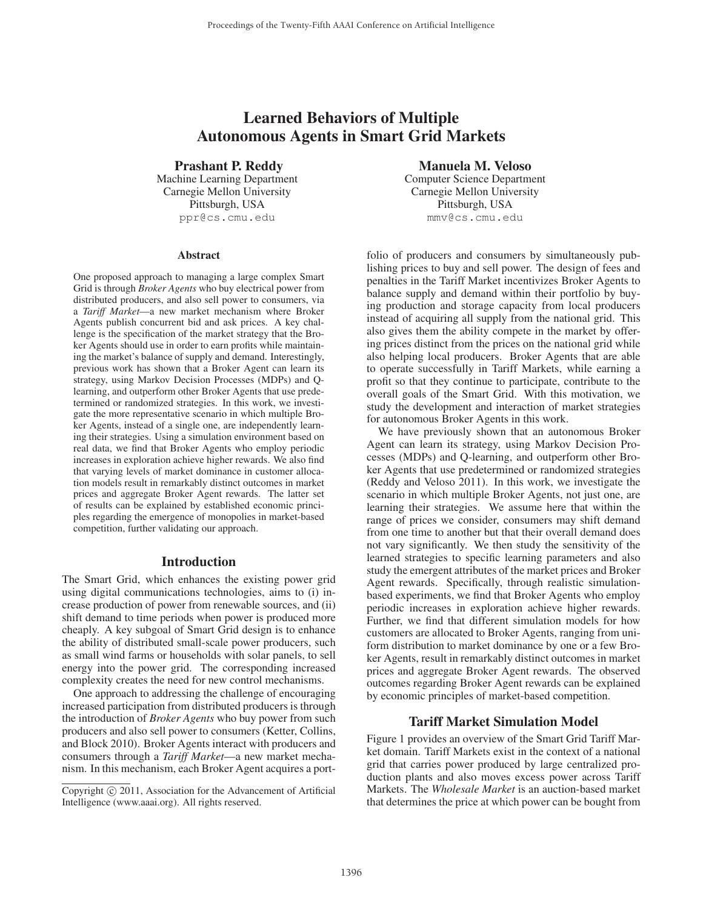# Learned Behaviors of Multiple Autonomous Agents in Smart Grid Markets

Prashant P. Reddy

Machine Learning Department Carnegie Mellon University Pittsburgh, USA ppr@cs.cmu.edu

#### **Abstract**

One proposed approach to managing a large complex Smart Grid is through *Broker Agents* who buy electrical power from distributed producers, and also sell power to consumers, via a *Tariff Market*—a new market mechanism where Broker Agents publish concurrent bid and ask prices. A key challenge is the specification of the market strategy that the Broker Agents should use in order to earn profits while maintaining the market's balance of supply and demand. Interestingly, previous work has shown that a Broker Agent can learn its strategy, using Markov Decision Processes (MDPs) and Qlearning, and outperform other Broker Agents that use predetermined or randomized strategies. In this work, we investigate the more representative scenario in which multiple Broker Agents, instead of a single one, are independently learning their strategies. Using a simulation environment based on real data, we find that Broker Agents who employ periodic increases in exploration achieve higher rewards. We also find that varying levels of market dominance in customer allocation models result in remarkably distinct outcomes in market prices and aggregate Broker Agent rewards. The latter set of results can be explained by established economic principles regarding the emergence of monopolies in market-based competition, further validating our approach.

#### Introduction

The Smart Grid, which enhances the existing power grid using digital communications technologies, aims to (i) increase production of power from renewable sources, and (ii) shift demand to time periods when power is produced more cheaply. A key subgoal of Smart Grid design is to enhance the ability of distributed small-scale power producers, such as small wind farms or households with solar panels, to sell energy into the power grid. The corresponding increased complexity creates the need for new control mechanisms.

One approach to addressing the challenge of encouraging increased participation from distributed producers is through the introduction of *Broker Agents* who buy power from such producers and also sell power to consumers (Ketter, Collins, and Block 2010). Broker Agents interact with producers and consumers through a *Tariff Market*—a new market mechanism. In this mechanism, each Broker Agent acquires a port-

### Manuela M. Veloso

Computer Science Department Carnegie Mellon University Pittsburgh, USA mmv@cs.cmu.edu

folio of producers and consumers by simultaneously publishing prices to buy and sell power. The design of fees and penalties in the Tariff Market incentivizes Broker Agents to balance supply and demand within their portfolio by buying production and storage capacity from local producers instead of acquiring all supply from the national grid. This also gives them the ability compete in the market by offering prices distinct from the prices on the national grid while also helping local producers. Broker Agents that are able to operate successfully in Tariff Markets, while earning a profit so that they continue to participate, contribute to the overall goals of the Smart Grid. With this motivation, we study the development and interaction of market strategies for autonomous Broker Agents in this work.

We have previously shown that an autonomous Broker Agent can learn its strategy, using Markov Decision Processes (MDPs) and Q-learning, and outperform other Broker Agents that use predetermined or randomized strategies (Reddy and Veloso 2011). In this work, we investigate the scenario in which multiple Broker Agents, not just one, are learning their strategies. We assume here that within the range of prices we consider, consumers may shift demand from one time to another but that their overall demand does not vary significantly. We then study the sensitivity of the learned strategies to specific learning parameters and also study the emergent attributes of the market prices and Broker Agent rewards. Specifically, through realistic simulationbased experiments, we find that Broker Agents who employ periodic increases in exploration achieve higher rewards. Further, we find that different simulation models for how customers are allocated to Broker Agents, ranging from uniform distribution to market dominance by one or a few Broker Agents, result in remarkably distinct outcomes in market prices and aggregate Broker Agent rewards. The observed outcomes regarding Broker Agent rewards can be explained by economic principles of market-based competition.

## Tariff Market Simulation Model

Figure 1 provides an overview of the Smart Grid Tariff Market domain. Tariff Markets exist in the context of a national grid that carries power produced by large centralized production plants and also moves excess power across Tariff Markets. The *Wholesale Market* is an auction-based market that determines the price at which power can be bought from

Copyright  $\odot$  2011, Association for the Advancement of Artificial Intelligence (www.aaai.org). All rights reserved.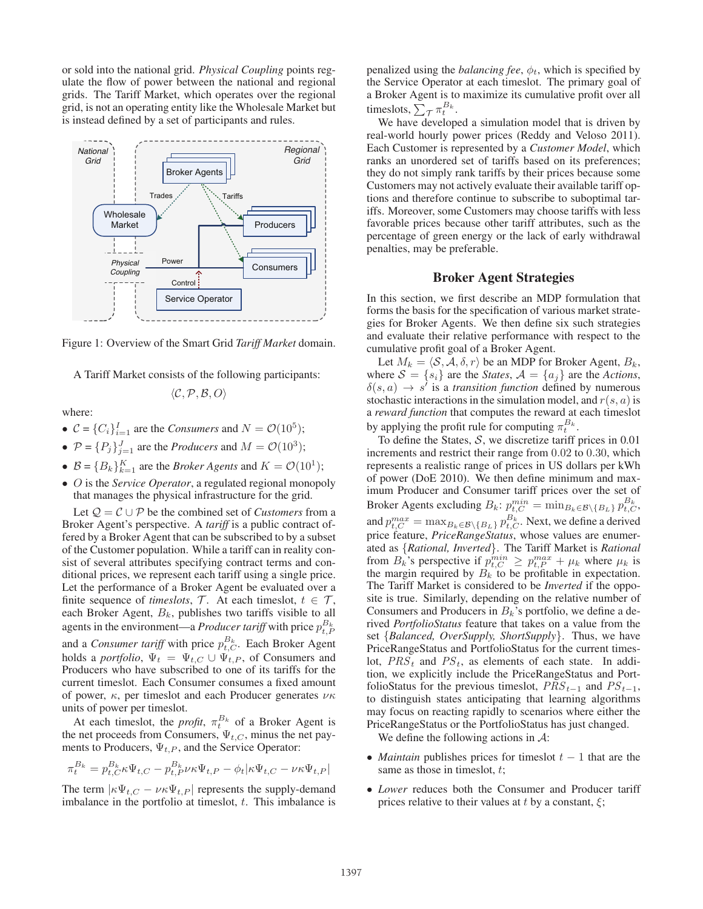or sold into the national grid. *Physical Coupling* points regulate the flow of power between the national and regional grids. The Tariff Market, which operates over the regional grid, is not an operating entity like the Wholesale Market but is instead defined by a set of participants and rules.





A Tariff Market consists of the following participants:

$$
\langle \mathcal{C}, \mathcal{P}, \mathcal{B}, O \rangle
$$

where:

- $C = \{C_i\}_{i=1}^I$  are the *Consumers* and  $N = \mathcal{O}(10^5)$ ;
- $P = \{P_j\}_{j=1}^J$  are the *Producers* and  $M = \mathcal{O}(10^3)$ ;
- $\mathcal{B} = \{B_k\}_{k=1}^K$  are the *Broker Agents* and  $K = \mathcal{O}(10^1)$ ;
- O is the *Service Operator*, a regulated regional monopoly that manages the physical infrastructure for the grid.

Let  $Q = C \cup P$  be the combined set of *Customers* from a Broker Agent's perspective. A *tariff* is a public contract offered by a Broker Agent that can be subscribed to by a subset of the Customer population. While a tariff can in reality consist of several attributes specifying contract terms and conditional prices, we represent each tariff using a single price. Let the performance of a Broker Agent be evaluated over a finite sequence of *timeslots*,  $\mathcal{T}$ . At each timeslot,  $t \in \mathcal{T}$ , each Broker Agent,  $B_k$ , publishes two tariffs visible to all agents in the environment—a *Producer tariff* with price  $p_{t,F}^{B_k}$ and a *Consumer tariff* with price  $p_{t,C}^{B_k}$ . Each Broker Agent holds a *portfolio*,  $\Psi_t = \Psi_{t,C} \cup \Psi_{t,P}$ , of Consumers and Producers who have subscribed to one of its tariffs for the current timeslot. Each Consumer consumes a fixed amount of power,  $\kappa$ , per timeslot and each Producer generates  $\nu \kappa$ units of power per timeslot.

At each timeslot, the *profit*,  $\pi_t^{B_k}$  of a Broker Agent is the net proceeds from Consumers,  $\Psi_{t,C}$ , minus the net payments to Producers,  $\Psi_{t,P}$ , and the Service Operator:

$$
\pi^{B_k}_t=p^{B_k}_{t,C}\kappa\Psi_{t,C}-p^{B_k}_{t,P}\nu\kappa\Psi_{t,P}-\phi_t|\kappa\Psi_{t,C}-\nu\kappa\Psi_{t,P}|
$$

The term  $|\kappa \Psi_{t,C} - \nu \kappa \Psi_{t,P}|$  represents the supply-demand imbalance in the portfolio at timeslot,  $t$ . This imbalance is

penalized using the *balancing fee*,  $\phi_t$ , which is specified by the Service Operator at each timeslot. The primary goal of a Broker Agent is to maximize its cumulative profit over all timeslots,  $\sum_{\mathcal{T}} \pi_t^{B_k}$ .

We have developed a simulation model that is driven by real-world hourly power prices (Reddy and Veloso 2011). Each Customer is represented by a *Customer Model*, which ranks an unordered set of tariffs based on its preferences; they do not simply rank tariffs by their prices because some Customers may not actively evaluate their available tariff options and therefore continue to subscribe to suboptimal tariffs. Moreover, some Customers may choose tariffs with less favorable prices because other tariff attributes, such as the percentage of green energy or the lack of early withdrawal penalties, may be preferable.

## Broker Agent Strategies

In this section, we first describe an MDP formulation that forms the basis for the specification of various market strategies for Broker Agents. We then define six such strategies and evaluate their relative performance with respect to the cumulative profit goal of a Broker Agent.

Let  $M_k = \langle \mathcal{S}, \mathcal{A}, \delta, r \rangle$  be an MDP for Broker Agent,  $B_k$ , where  $S = \{s_i\}$  are the *States*,  $A = \{a_j\}$  are the *Actions*,  $\delta(s, a) \rightarrow s'$  is a *transition function* defined by numerous stochastic interactions in the simulation model, and  $r(s, a)$  is a *reward function* that computes the reward at each timeslot by applying the profit rule for computing  $\pi_t^{B_k}$ .

To define the States,  $S$ , we discretize tariff prices in 0.01 increments and restrict their range from 0.02 to 0.30, which represents a realistic range of prices in US dollars per kWh of power (DoE 2010). We then define minimum and maximum Producer and Consumer tariff prices over the set of Broker Agents excluding  $B_k$ :  $p_{t,C}^{min} = \min_{B_k \in \mathcal{B} \setminus \{B_L\}} p_{t,C}^{B_k}$ , and  $p_{t,C}^{max} = \max_{B_k \in \mathcal{B} \setminus \{B_L\}} p_{t,C}^{B_k}$ . Next, we define a derived price feature, *PriceRangeStatus*, whose values are enumerated as {*Rational, Inverted*}. The Tariff Market is *Rational* from  $B_k$ 's perspective if  $p_{t,C}^{min} \ge p_{t,P}^{max} + \mu_k$  where  $\mu_k$  is the margin required by  $B_k$  to be profitable in expectation. The Tariff Market is considered to be *Inverted* if the opposite is true. Similarly, depending on the relative number of Consumers and Producers in  $B_k$ 's portfolio, we define a derived *PortfolioStatus* feature that takes on a value from the set {*Balanced, OverSupply, ShortSupply*}. Thus, we have PriceRangeStatus and PortfolioStatus for the current timeslot,  $PRS_t$  and  $PS_t$ , as elements of each state. In addition, we explicitly include the PriceRangeStatus and PortfolioStatus for the previous timeslot,  $PRS_{t-1}$  and  $PS_{t-1}$ , to distinguish states anticipating that learning algorithms may focus on reacting rapidly to scenarios where either the PriceRangeStatus or the PortfolioStatus has just changed.

We define the following actions in  $\mathcal{A}$ :

- *Maintain* publishes prices for timeslot  $t 1$  that are the same as those in timeslot,  $t$ ;
- *Lower* reduces both the Consumer and Producer tariff prices relative to their values at t by a constant,  $\xi$ ;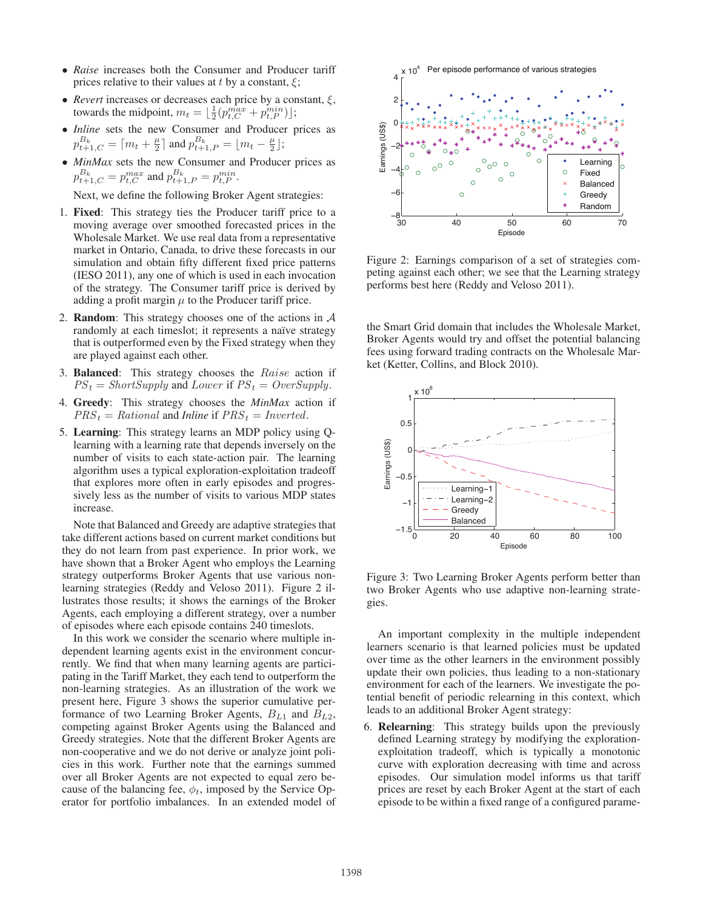- *Raise* increases both the Consumer and Producer tariff prices relative to their values at t by a constant,  $\xi$ ;
- *Revert* increases or decreases each price by a constant,  $\xi$ , towards the midpoint,  $m_t = \lfloor \frac{1}{2} (p_{t,C}^{max} + p_{t,P}^{min}) \rfloor$ ;
- *Inline* sets the new Consumer and Producer prices as  $p_{t+1,C}^{B_k} = \lceil m_t + \frac{\mu}{2} \rceil$  and  $p_{t+1,P}^{B_k} = \lfloor m_t - \frac{\mu}{2} \rfloor$ ;
- *MinMax* sets the new Consumer and Producer prices as  $p_{t+1,C}^{B_k} = p_{t,C}^{max}$  and  $p_{t+1,P}^{B_k} = p_{t,P}^{min}$ .

Next, we define the following Broker Agent strategies:

- 1. Fixed: This strategy ties the Producer tariff price to a moving average over smoothed forecasted prices in the Wholesale Market. We use real data from a representative market in Ontario, Canada, to drive these forecasts in our simulation and obtain fifty different fixed price patterns (IESO 2011), any one of which is used in each invocation of the strategy. The Consumer tariff price is derived by adding a profit margin  $\mu$  to the Producer tariff price.
- 2. **Random**: This strategy chooses one of the actions in  $\mathcal A$ randomly at each timeslot; it represents a naïve strategy that is outperformed even by the Fixed strategy when they are played against each other.
- 3. Balanced: This strategy chooses the Raise action if  $PS<sub>t</sub> = ShortSupply$  and Lower if  $PS<sub>t</sub> = OverSupply$ .
- 4. Greedy: This strategy chooses the *MinMax* action if  $PRS_t = Rational$  and *Inline* if  $PRS_t = Inverted$ .
- 5. Learning: This strategy learns an MDP policy using Qlearning with a learning rate that depends inversely on the number of visits to each state-action pair. The learning algorithm uses a typical exploration-exploitation tradeoff that explores more often in early episodes and progressively less as the number of visits to various MDP states increase.

Note that Balanced and Greedy are adaptive strategies that take different actions based on current market conditions but they do not learn from past experience. In prior work, we have shown that a Broker Agent who employs the Learning strategy outperforms Broker Agents that use various nonlearning strategies (Reddy and Veloso 2011). Figure 2 illustrates those results; it shows the earnings of the Broker Agents, each employing a different strategy, over a number of episodes where each episode contains 240 timeslots.

In this work we consider the scenario where multiple independent learning agents exist in the environment concurrently. We find that when many learning agents are participating in the Tariff Market, they each tend to outperform the non-learning strategies. As an illustration of the work we present here, Figure 3 shows the superior cumulative performance of two Learning Broker Agents,  $B_{L1}$  and  $B_{L2}$ , competing against Broker Agents using the Balanced and Greedy strategies. Note that the different Broker Agents are non-cooperative and we do not derive or analyze joint policies in this work. Further note that the earnings summed over all Broker Agents are not expected to equal zero because of the balancing fee,  $\phi_t$ , imposed by the Service Operator for portfolio imbalances. In an extended model of



Figure 2: Earnings comparison of a set of strategies competing against each other; we see that the Learning strategy performs best here (Reddy and Veloso 2011).

the Smart Grid domain that includes the Wholesale Market, Broker Agents would try and offset the potential balancing fees using forward trading contracts on the Wholesale Market (Ketter, Collins, and Block 2010).



Figure 3: Two Learning Broker Agents perform better than two Broker Agents who use adaptive non-learning strategies.

An important complexity in the multiple independent learners scenario is that learned policies must be updated over time as the other learners in the environment possibly update their own policies, thus leading to a non-stationary environment for each of the learners. We investigate the potential benefit of periodic relearning in this context, which leads to an additional Broker Agent strategy:

6. Relearning: This strategy builds upon the previously defined Learning strategy by modifying the explorationexploitation tradeoff, which is typically a monotonic curve with exploration decreasing with time and across episodes. Our simulation model informs us that tariff prices are reset by each Broker Agent at the start of each episode to be within a fixed range of a configured parame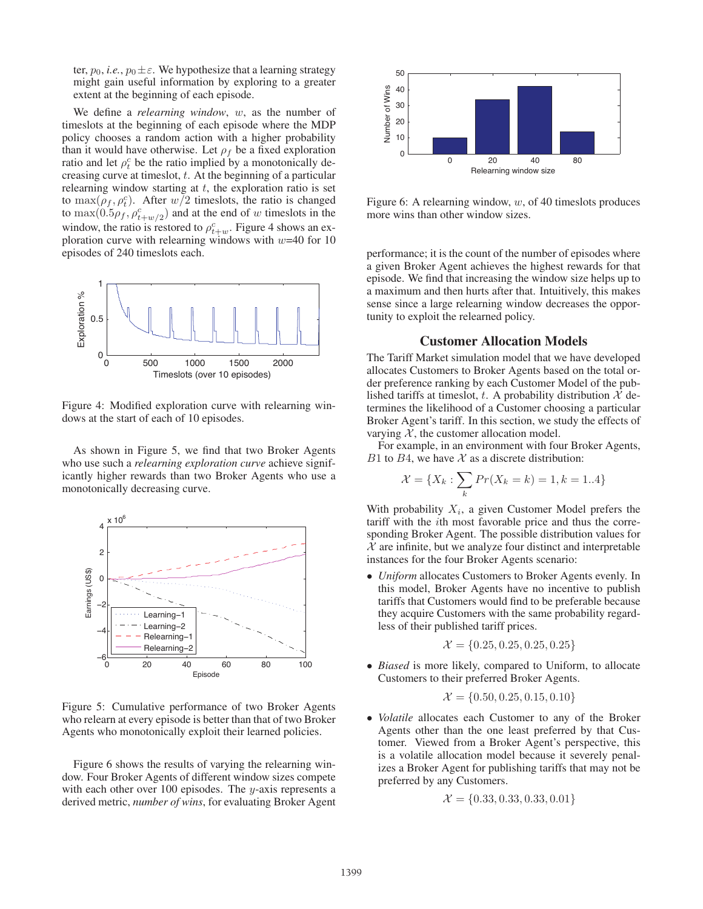ter,  $p_0$ , *i.e.*,  $p_0 \pm \varepsilon$ . We hypothesize that a learning strategy might gain useful information by exploring to a greater extent at the beginning of each episode.

We define a *relearning window*, w, as the number of timeslots at the beginning of each episode where the MDP policy chooses a random action with a higher probability than it would have otherwise. Let  $\rho_f$  be a fixed exploration ratio and let  $\rho_t^c$  be the ratio implied by a monotonically decreasing curve at timeslot,  $t$ . At the beginning of a particular relearning window starting at  $t$ , the exploration ratio is set to  $\max(\rho_f, \rho_t^c)$ . After  $w/2$  timeslots, the ratio is changed to  $\max(0.5\rho_f, \rho_{t+w/2}^c)$  and at the end of w timeslots in the window, the ratio is restored to  $\rho_{t+w}^c$ . Figure 4 shows an exploration curve with relearning windows with  $w=40$  for 10 episodes of 240 timeslots each.



Figure 4: Modified exploration curve with relearning windows at the start of each of 10 episodes.

As shown in Figure 5, we find that two Broker Agents who use such a *relearning exploration curve* achieve significantly higher rewards than two Broker Agents who use a monotonically decreasing curve.



Figure 5: Cumulative performance of two Broker Agents who relearn at every episode is better than that of two Broker Agents who monotonically exploit their learned policies.

Figure 6 shows the results of varying the relearning window. Four Broker Agents of different window sizes compete with each other over  $100$  episodes. The *y*-axis represents a derived metric, *number of wins*, for evaluating Broker Agent



Figure 6: A relearning window,  $w$ , of 40 timeslots produces more wins than other window sizes.

performance; it is the count of the number of episodes where a given Broker Agent achieves the highest rewards for that episode. We find that increasing the window size helps up to a maximum and then hurts after that. Intuitively, this makes sense since a large relearning window decreases the opportunity to exploit the relearned policy.

#### Customer Allocation Models

The Tariff Market simulation model that we have developed allocates Customers to Broker Agents based on the total order preference ranking by each Customer Model of the published tariffs at timeslot, t. A probability distribution  $X$  determines the likelihood of a Customer choosing a particular Broker Agent's tariff. In this section, we study the effects of varying  $X$ , the customer allocation model.

For example, in an environment with four Broker Agents, B1 to B4, we have  $X$  as a discrete distribution:

$$
\mathcal{X} = \{X_k : \sum_k Pr(X_k = k) = 1, k = 1..4\}
$$

With probability  $X_i$ , a given Customer Model prefers the tariff with the ith most favorable price and thus the corresponding Broker Agent. The possible distribution values for  $X$  are infinite, but we analyze four distinct and interpretable instances for the four Broker Agents scenario:

• *Uniform* allocates Customers to Broker Agents evenly. In this model, Broker Agents have no incentive to publish tariffs that Customers would find to be preferable because they acquire Customers with the same probability regardless of their published tariff prices.

$$
\mathcal{X} = \{0.25, 0.25, 0.25, 0.25\}
$$

• *Biased* is more likely, compared to Uniform, to allocate Customers to their preferred Broker Agents.

$$
\mathcal{X} = \{0.50, 0.25, 0.15, 0.10\}
$$

• *Volatile* allocates each Customer to any of the Broker Agents other than the one least preferred by that Customer. Viewed from a Broker Agent's perspective, this is a volatile allocation model because it severely penalizes a Broker Agent for publishing tariffs that may not be preferred by any Customers.

$$
\mathcal{X} = \{0.33, 0.33, 0.33, 0.01\}
$$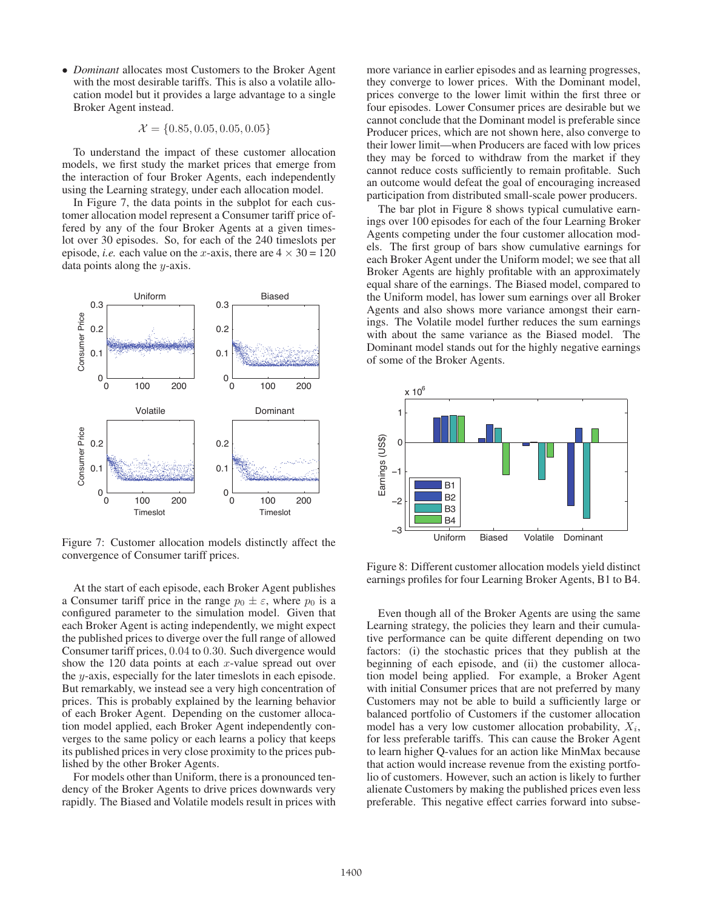• *Dominant* allocates most Customers to the Broker Agent with the most desirable tariffs. This is also a volatile allocation model but it provides a large advantage to a single Broker Agent instead.

$$
\mathcal{X} = \{0.85, 0.05, 0.05, 0.05\}
$$

To understand the impact of these customer allocation models, we first study the market prices that emerge from the interaction of four Broker Agents, each independently using the Learning strategy, under each allocation model.

In Figure 7, the data points in the subplot for each customer allocation model represent a Consumer tariff price offered by any of the four Broker Agents at a given timeslot over 30 episodes. So, for each of the 240 timeslots per episode, *i.e.* each value on the *x*-axis, there are  $4 \times 30 = 120$ data points along the y-axis.



Figure 7: Customer allocation models distinctly affect the convergence of Consumer tariff prices.

At the start of each episode, each Broker Agent publishes a Consumer tariff price in the range  $p_0 \pm \varepsilon$ , where  $p_0$  is a configured parameter to the simulation model. Given that each Broker Agent is acting independently, we might expect the published prices to diverge over the full range of allowed Consumer tariff prices, 0.04 to 0.30. Such divergence would show the 120 data points at each  $x$ -value spread out over the y-axis, especially for the later timeslots in each episode. But remarkably, we instead see a very high concentration of prices. This is probably explained by the learning behavior of each Broker Agent. Depending on the customer allocation model applied, each Broker Agent independently converges to the same policy or each learns a policy that keeps its published prices in very close proximity to the prices published by the other Broker Agents.

For models other than Uniform, there is a pronounced tendency of the Broker Agents to drive prices downwards very rapidly. The Biased and Volatile models result in prices with

more variance in earlier episodes and as learning progresses, they converge to lower prices. With the Dominant model, prices converge to the lower limit within the first three or four episodes. Lower Consumer prices are desirable but we cannot conclude that the Dominant model is preferable since Producer prices, which are not shown here, also converge to their lower limit—when Producers are faced with low prices they may be forced to withdraw from the market if they cannot reduce costs sufficiently to remain profitable. Such an outcome would defeat the goal of encouraging increased participation from distributed small-scale power producers.

The bar plot in Figure 8 shows typical cumulative earnings over 100 episodes for each of the four Learning Broker Agents competing under the four customer allocation models. The first group of bars show cumulative earnings for each Broker Agent under the Uniform model; we see that all Broker Agents are highly profitable with an approximately equal share of the earnings. The Biased model, compared to the Uniform model, has lower sum earnings over all Broker Agents and also shows more variance amongst their earnings. The Volatile model further reduces the sum earnings with about the same variance as the Biased model. The Dominant model stands out for the highly negative earnings of some of the Broker Agents.



Figure 8: Different customer allocation models yield distinct earnings profiles for four Learning Broker Agents, B1 to B4.

Even though all of the Broker Agents are using the same Learning strategy, the policies they learn and their cumulative performance can be quite different depending on two factors: (i) the stochastic prices that they publish at the beginning of each episode, and (ii) the customer allocation model being applied. For example, a Broker Agent with initial Consumer prices that are not preferred by many Customers may not be able to build a sufficiently large or balanced portfolio of Customers if the customer allocation model has a very low customer allocation probability,  $X_i$ , for less preferable tariffs. This can cause the Broker Agent to learn higher Q-values for an action like MinMax because that action would increase revenue from the existing portfolio of customers. However, such an action is likely to further alienate Customers by making the published prices even less preferable. This negative effect carries forward into subse